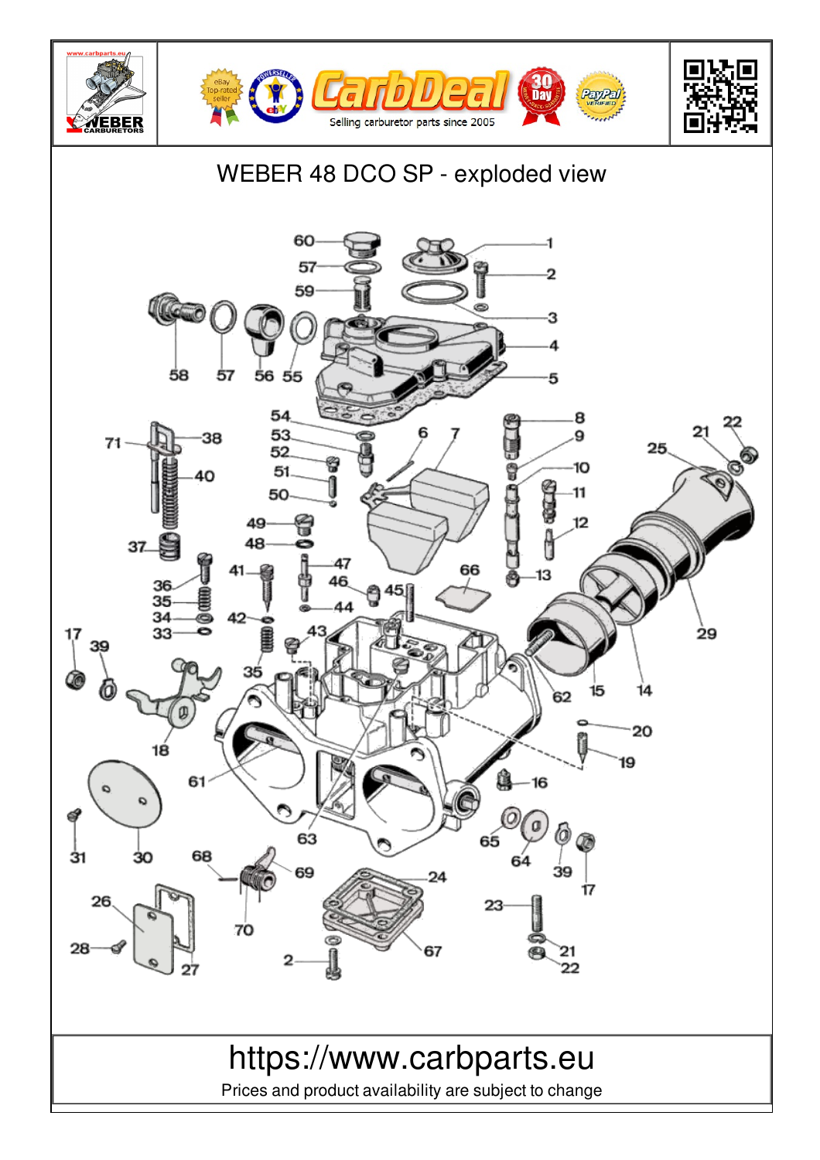